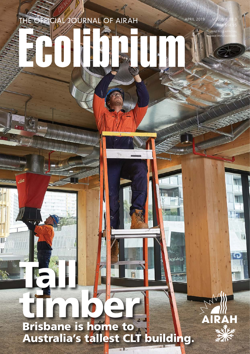# timber. Brisbane is home to Australia's tallest CLT building.

Tall 1

W.

T

THE OFFICIAL JOURNAL OF AIRAH

 $\Delta$ 

APRIL 2019

RRP \$14.95 PRINT POST APPROVAL NUMBER PP352532/00001